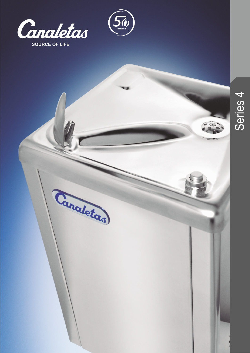

Canaletas